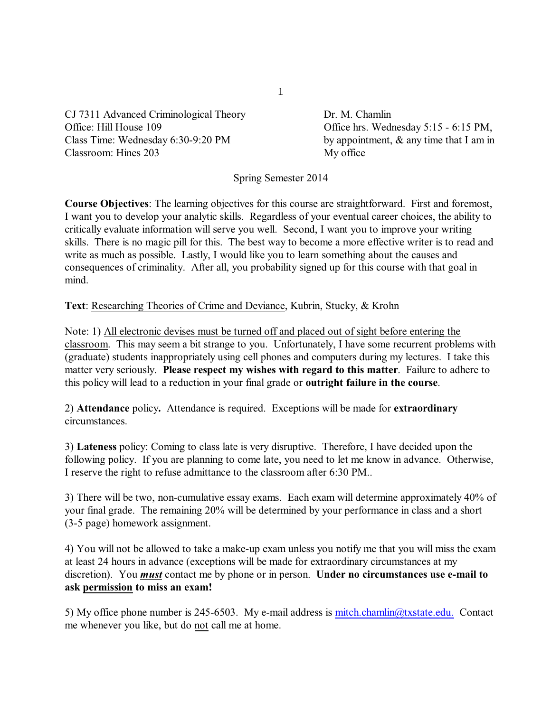CJ 7311 Advanced Criminological Theory Dr. M. Chamlin Office: Hill House 109 Office hrs. Wednesday 5:15 - 6:15 PM, Class Time: Wednesday 6:30-9:20 PM by appointment, & any time that I am in Classroom: Hines 203 My office

Spring Semester 2014

**Course Objectives**: The learning objectives for this course are straightforward. First and foremost, I want you to develop your analytic skills. Regardless of your eventual career choices, the ability to critically evaluate information will serve you well. Second, I want you to improve your writing skills. There is no magic pill for this. The best way to become a more effective writer is to read and write as much as possible. Lastly, I would like you to learn something about the causes and consequences of criminality. After all, you probability signed up for this course with that goal in mind.

**Text**: Researching Theories of Crime and Deviance, Kubrin, Stucky, & Krohn

Note: 1) All electronic devises must be turned off and placed out of sight before entering the classroom. This may seem a bit strange to you. Unfortunately, I have some recurrent problems with (graduate) students inappropriately using cell phones and computers during my lectures. I take this matter very seriously. **Please respect my wishes with regard to this matter**. Failure to adhere to this policy will lead to a reduction in your final grade or **outright failure in the course**.

2) **Attendance** policy**.** Attendance is required. Exceptions will be made for **extraordinary** circumstances.

3) **Lateness** policy: Coming to class late is very disruptive. Therefore, I have decided upon the following policy. If you are planning to come late, you need to let me know in advance. Otherwise, I reserve the right to refuse admittance to the classroom after 6:30 PM..

3) There will be two, non-cumulative essay exams. Each exam will determine approximately 40% of your final grade. The remaining 20% will be determined by your performance in class and a short (3-5 page) homework assignment.

4) You will not be allowed to take a make-up exam unless you notify me that you will miss the exam at least 24 hours in advance (exceptions will be made for extraordinary circumstances at my discretion). You *must* contact me by phone or in person. **Under no circumstances use e-mail to ask permission to miss an exam!**

<span id="page-0-0"></span>5) My office phone number is 245-6503. My e-mail address is  $\frac{mitch}{chain}$  $@txstate.edu$ . Contact me whenever you like, but do not call me at home.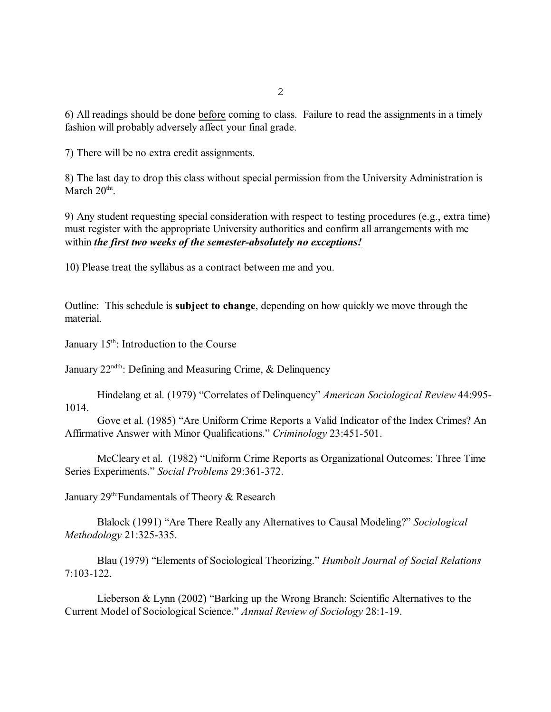6) All readings should be done before coming to class. Failure to read the assignments in a timely fashion will probably adversely affect your final grade.

7) There will be no extra credit assignments.

8) The last day to drop this class without special permission from the University Administration is March  $20^{\text{th}}$ .

9) Any student requesting special consideration with respect to testing procedures (e.g., extra time) must register with the appropriate University authorities and confirm all arrangements with me within *the first two weeks of the semester-absolutely no exceptions!*

10) Please treat the syllabus as a contract between me and you.

Outline: This schedule is **subject to change**, depending on how quickly we move through the material.

January  $15<sup>th</sup>$ : Introduction to the Course

January  $22^{\text{ndth}}$ : Defining and Measuring Crime, & Delinquency

Hindelang et al. (1979) "Correlates of Delinquency" *American Sociological Review* 44:995- 1014.

Gove et al. (1985) "Are Uniform Crime Reports a Valid Indicator of the Index Crimes? An Affirmative Answer with Minor Qualifications." *Criminology* 23:451-501.

McCleary et al. (1982) "Uniform Crime Reports as Organizational Outcomes: Three Time Series Experiments." *Social Problems* 29:361-372.

January  $29<sup>th</sup>$  Fundamentals of Theory & Research

Blalock (1991) "Are There Really any Alternatives to Causal Modeling?" *Sociological Methodology* 21:325-335.

Blau (1979) "Elements of Sociological Theorizing." *Humbolt Journal of Social Relations* 7:103-122.

Lieberson & Lynn (2002) "Barking up the Wrong Branch: Scientific Alternatives to the Current Model of Sociological Science." *Annual Review of Sociology* 28:1-19.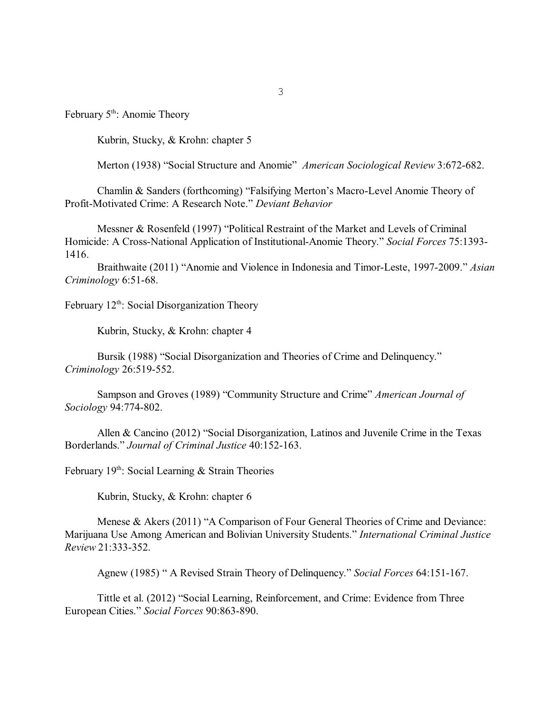February  $5<sup>th</sup>$ : Anomie Theory

Kubrin, Stucky, & Krohn: chapter 5

Merton (1938) "Social Structure and Anomie" *American Sociological Review* 3:672-682.

Chamlin & Sanders (forthcoming) "Falsifying Merton's Macro-Level Anomie Theory of Profit-Motivated Crime: A Research Note." *Deviant Behavior*

Messner & Rosenfeld (1997) "Political Restraint of the Market and Levels of Criminal Homicide: A Cross-National Application of Institutional-Anomie Theory." *Social Forces* 75:1393- 1416.

Braithwaite (2011) "Anomie and Violence in Indonesia and Timor-Leste, 1997-2009." *Asian Criminology* 6:51-68.

February  $12<sup>th</sup>$ : Social Disorganization Theory

Kubrin, Stucky, & Krohn: chapter 4

Bursik (1988) "Social Disorganization and Theories of Crime and Delinquency." *Criminology* 26:519-552.

Sampson and Groves (1989) "Community Structure and Crime" *American Journal of Sociology* 94:774-802.

Allen & Cancino (2012) "Social Disorganization, Latinos and Juvenile Crime in the Texas Borderlands." *Journal of Criminal Justice* 40:152-163.

February  $19<sup>th</sup>$ : Social Learning & Strain Theories

Kubrin, Stucky, & Krohn: chapter 6

Menese & Akers (2011) "A Comparison of Four General Theories of Crime and Deviance: Marijuana Use Among American and Bolivian University Students." *International Criminal Justice Review* 21:333-352.

Agnew (1985) " A Revised Strain Theory of Delinquency." *Social Forces* 64:151-167.

Tittle et al. (2012) "Social Learning, Reinforcement, and Crime: Evidence from Three European Cities." *Social Forces* 90:863-890.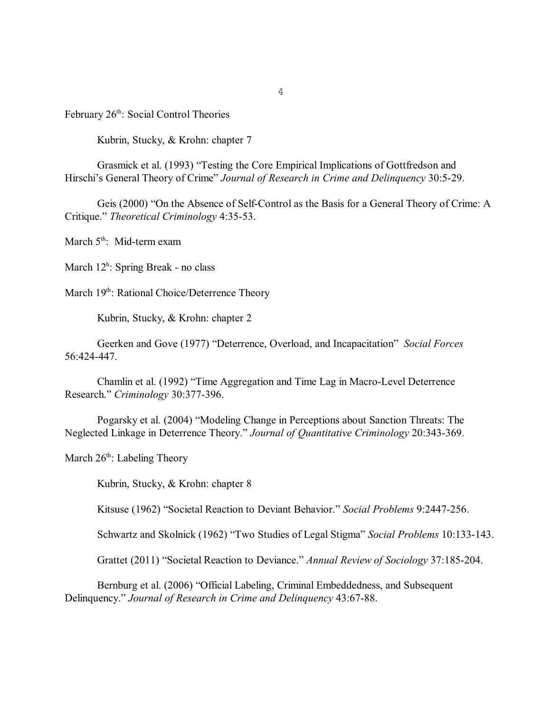February  $26<sup>th</sup>$ : Social Control Theories

Kubrin, Stucky, & Krohn: chapter 7

Grasmick et al. (1993) "Testing the Core Empirical Implications of Gottfredson and Hirschi's General Theory of Crime" *Journal of Research in Crime and Delinquency* 30:5-29.

Geis (2000) "On the Absence of Self-Control as the Basis for a General Theory of Crime: A Critique." *Theoretical Criminology* 4:35-53.

March  $5<sup>th</sup>$ : Mid-term exam

March 12<sup>h</sup>: Spring Break - no class

March 19<sup>th</sup>: Rational Choice/Deterrence Theory

Kubrin, Stucky, & Krohn: chapter 2

Geerken and Gove (1977) "Deterrence, Overload, and Incapacitation" *Social Forces* 56:424-447.

Chamlin et al. (1992) "Time Aggregation and Time Lag in Macro-Level Deterrence Research." *Criminology* 30:377-396.

Pogarsky et al. (2004) "Modeling Change in Perceptions about Sanction Threats: The Neglected Linkage in Deterrence Theory." *Journal of Quantitative Criminology* 20:343-369.

March  $26<sup>th</sup>$ : Labeling Theory

Kubrin, Stucky, & Krohn: chapter 8

Kitsuse (1962) "Societal Reaction to Deviant Behavior." *Social Problems* 9:2447-256.

Schwartz and Skolnick (1962) "Two Studies of Legal Stigma" *Social Problems* 10:133-143.

Grattet (2011) "Societal Reaction to Deviance." *Annual Review of Sociology* 37:185-204.

Bernburg et al. (2006) "Official Labeling, Criminal Embeddedness, and Subsequent Delinquency." *Journal of Research in Crime and Delinquency* 43:67-88.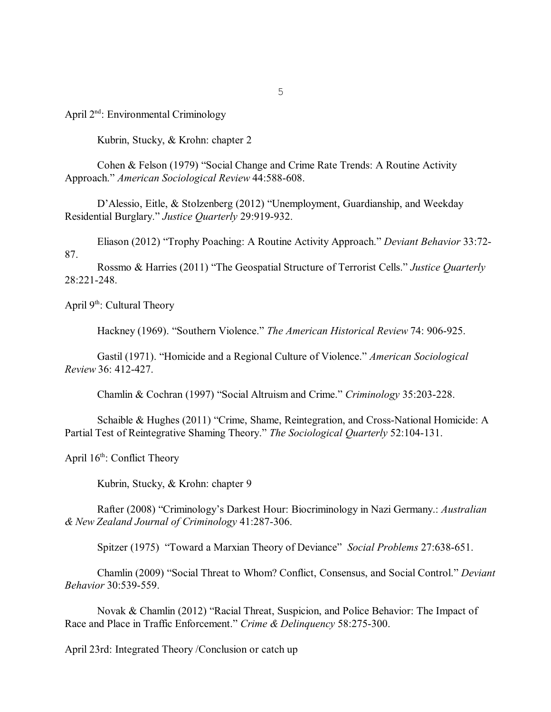April 2<sup>nd</sup>: Environmental Criminology

Kubrin, Stucky, & Krohn: chapter 2

Cohen & Felson (1979) "Social Change and Crime Rate Trends: A Routine Activity Approach." *American Sociological Review* 44:588-608.

D'Alessio, Eitle, & Stolzenberg (2012) "Unemployment, Guardianship, and Weekday Residential Burglary." *Justice Quarterly* 29:919-932.

Eliason (2012) "Trophy Poaching: A Routine Activity Approach." *Deviant Behavior* 33:72- 87.

Rossmo & Harries (2011) "The Geospatial Structure of Terrorist Cells." *Justice Quarterly* 28:221-248.

April  $9<sup>th</sup>$ : Cultural Theory

Hackney (1969). "Southern Violence." *The American Historical Review* 74: 906-925.

Gastil (1971). "Homicide and a Regional Culture of Violence." *American Sociological Review* 36: 412-427.

Chamlin & Cochran (1997) "Social Altruism and Crime." *Criminology* 35:203-228.

Schaible & Hughes (2011) "Crime, Shame, Reintegration, and Cross-National Homicide: A Partial Test of Reintegrative Shaming Theory." *The Sociological Quarterly* 52:104-131.

April  $16<sup>th</sup>$ : Conflict Theory

Kubrin, Stucky, & Krohn: chapter 9

Rafter (2008) "Criminology's Darkest Hour: Biocriminology in Nazi Germany.: *Australian & New Zealand Journal of Criminology* 41:287-306.

Spitzer (1975) "Toward a Marxian Theory of Deviance" *Social Problems* 27:638-651.

Chamlin (2009) "Social Threat to Whom? Conflict, Consensus, and Social Control." *Deviant Behavior* 30:539-559.

Novak & Chamlin (2012) "Racial Threat, Suspicion, and Police Behavior: The Impact of Race and Place in Traffic Enforcement." *Crime & Delinquency* 58:275-300.

April 23rd: Integrated Theory /Conclusion or catch up